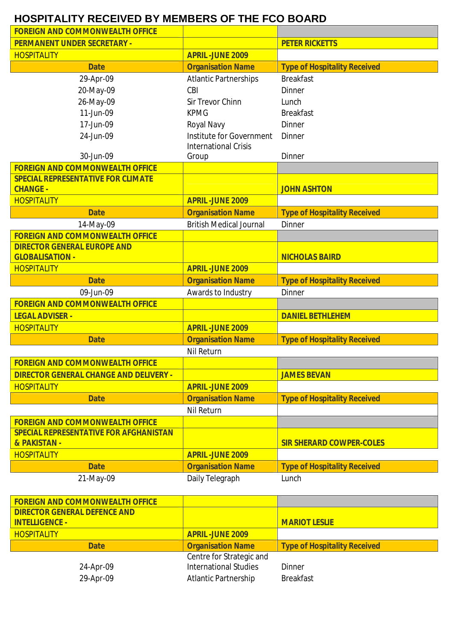## **HOSPITALITY RECEIVED BY MEMBERS OF THE FCO BOARD**

| <b>FOREIGN AND COMMONWEALTH OFFICE</b>                       |                                                         |                                     |
|--------------------------------------------------------------|---------------------------------------------------------|-------------------------------------|
| <b>PERMANENT UNDER SECRETARY -</b>                           |                                                         | <b>PETER RICKETTS</b>               |
| <b>HOSPITALITY</b>                                           | <b>APRIL-JUNE 2009</b>                                  |                                     |
| <b>Date</b>                                                  | <b>Organisation Name</b>                                | <b>Type of Hospitality Received</b> |
| 29-Apr-09                                                    | <b>Atlantic Partnerships</b>                            | <b>Breakfast</b>                    |
| 20-May-09                                                    | CBI                                                     | <b>Dinner</b>                       |
| 26-May-09                                                    | <b>Sir Trevor Chinn</b>                                 | Lunch                               |
| 11-Jun-09                                                    | <b>KPMG</b>                                             | <b>Breakfast</b>                    |
| 17-Jun-09                                                    | Royal Navy                                              | Dinner                              |
| 24-Jun-09                                                    | Institute for Government<br><b>International Crisis</b> | Dinner                              |
| 30-Jun-09                                                    | Group                                                   | <b>Dinner</b>                       |
| <b>FOREIGN AND COMMONWEALTH OFFICE</b>                       |                                                         |                                     |
| <b>SPECIAL REPRESENTATIVE FOR CLIMATE</b><br><b>CHANGE -</b> |                                                         | <b>JOHN ASHTON</b>                  |
| <b>HOSPITALITY</b>                                           | <b>APRIL-JUNE 2009</b>                                  |                                     |
| <b>Date</b>                                                  | <b>Organisation Name</b>                                | <b>Type of Hospitality Received</b> |
| 14-May-09                                                    | <b>British Medical Journal</b>                          | <b>Dinner</b>                       |
| <b>FOREIGN AND COMMONWEALTH OFFICE</b>                       |                                                         |                                     |
| <b>DIRECTOR GENERAL EUROPE AND</b><br><b>GLOBALISATION -</b> |                                                         | <b>NICHOLAS BAIRD</b>               |
| <b>HOSPITALITY</b>                                           | <b>APRIL-JUNE 2009</b>                                  |                                     |
| <b>Date</b>                                                  | <b>Organisation Name</b>                                | <b>Type of Hospitality Received</b> |
| 09-Jun-09                                                    | Awards to Industry                                      | <b>Dinner</b>                       |
| <b>FOREIGN AND COMMONWEALTH OFFICE</b>                       |                                                         |                                     |
| <b>LEGAL ADVISER -</b>                                       |                                                         | <b>DANIEL BETHLEHEM</b>             |
| <b>HOSPITALITY</b>                                           | <b>APRIL-JUNE 2009</b>                                  |                                     |
| <b>Date</b>                                                  | <b>Organisation Name</b>                                | <b>Type of Hospitality Received</b> |
|                                                              | <b>Nil Return</b>                                       |                                     |
| <b>FOREIGN AND COMMONWEALTH OFFICE</b>                       |                                                         |                                     |
| <b>DIRECTOR GENERAL CHANGE AND DELIVERY -</b>                |                                                         | <b>JAMES BEVAN</b>                  |
| <b>HOSPITALITY</b>                                           | <b>APRIL-JUNE 2009</b>                                  |                                     |
| <b>Date</b>                                                  | <b>Organisation Name</b>                                | <b>Type of Hospitality Received</b> |
|                                                              | Nil Return                                              |                                     |
| <b>FOREIGN AND COMMONWEALTH OFFICE</b>                       |                                                         |                                     |
| <b>SPECIAL REPRESENTATIVE FOR AFGHANISTAN</b>                |                                                         |                                     |
| & PAKISTAN -                                                 |                                                         | <b>SIR SHERARD COWPER-COLES</b>     |
| <b>HOSPITALITY</b>                                           | <b>APRIL-JUNE 2009</b>                                  |                                     |
| <b>Date</b>                                                  | <b>Organisation Name</b>                                | <b>Type of Hospitality Received</b> |
| 21-May-09                                                    | Daily Telegraph                                         | Lunch                               |

| <b>FOREIGN AND COMMONWEALTH OFFICE</b> |                              |                                     |
|----------------------------------------|------------------------------|-------------------------------------|
| <b>DIRECTOR GENERAL DEFENCE AND</b>    |                              |                                     |
| <b>INTELLIGENCE -</b>                  |                              | <b>MARIOT LESLIE</b>                |
| <b>HOSPITALITY</b>                     | <b>APRIL-JUNE 2009</b>       |                                     |
| <b>Date</b>                            | <b>Organisation Name</b>     | <b>Type of Hospitality Received</b> |
|                                        | Centre for Strategic and     |                                     |
| 24-Apr-09                              | <b>International Studies</b> | Dinner                              |
| 29-Apr-09                              | <b>Atlantic Partnership</b>  | <b>Breakfast</b>                    |